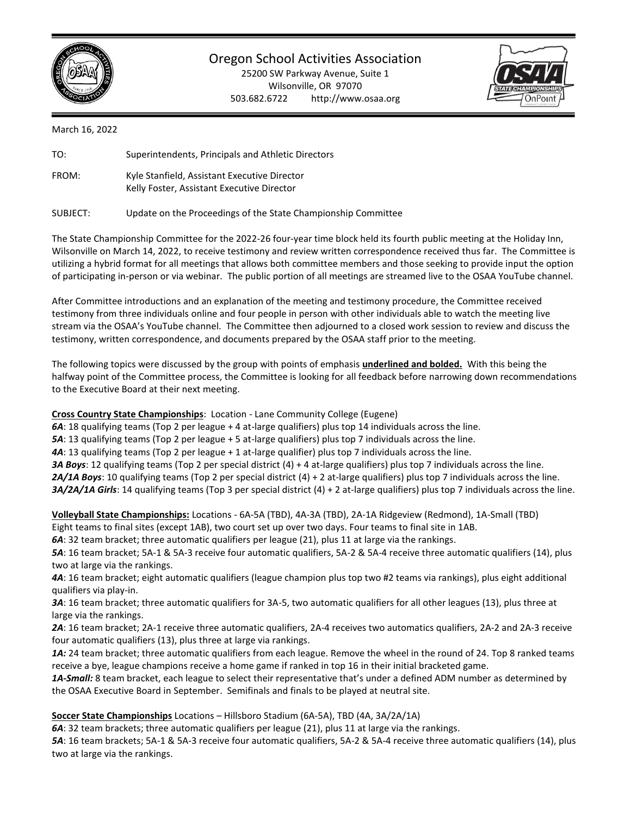

Oregon School Activities Association

25200 SW Parkway Avenue, Suite 1 Wilsonville, OR 97070 503.682.6722 http://www.osaa.org



March 16, 2022

| TO:   | Superintendents, Principals and Athletic Directors                                         |  |  |
|-------|--------------------------------------------------------------------------------------------|--|--|
| FROM: | Kyle Stanfield, Assistant Executive Director<br>Kelly Foster, Assistant Executive Director |  |  |
|       | .                                                                                          |  |  |

SUBJECT: Update on the Proceedings of the State Championship Committee

The State Championship Committee for the 2022-26 four-year time block held its fourth public meeting at the Holiday Inn, Wilsonville on March 14, 2022, to receive testimony and review written correspondence received thus far. The Committee is utilizing a hybrid format for all meetings that allows both committee members and those seeking to provide input the option of participating in-person or via webinar. The public portion of all meetings are streamed live to the OSAA YouTube channel.

After Committee introductions and an explanation of the meeting and testimony procedure, the Committee received testimony from three individuals online and four people in person with other individuals able to watch the meeting live stream via the OSAA's YouTube channel. The Committee then adjourned to a closed work session to review and discuss the testimony, written correspondence, and documents prepared by the OSAA staff prior to the meeting.

The following topics were discussed by the group with points of emphasis **underlined and bolded.** With this being the halfway point of the Committee process, the Committee is looking for all feedback before narrowing down recommendations to the Executive Board at their next meeting.

**Cross Country State Championships**: Location - Lane Community College (Eugene)

*6A*: 18 qualifying teams (Top 2 per league + 4 at-large qualifiers) plus top 14 individuals across the line.

*5A*: 13 qualifying teams (Top 2 per league + 5 at-large qualifiers) plus top 7 individuals across the line.

*4A*: 13 qualifying teams (Top 2 per league + 1 at-large qualifier) plus top 7 individuals across the line.

*3A Boys*: 12 qualifying teams (Top 2 per special district (4) + 4 at-large qualifiers) plus top 7 individuals across the line.

*2A/1A Boys*: 10 qualifying teams (Top 2 per special district (4) + 2 at-large qualifiers) plus top 7 individuals across the line.

*3A/2A/1A Girls*: 14 qualifying teams (Top 3 per special district (4) + 2 at-large qualifiers) plus top 7 individuals across the line.

**Volleyball State Championships:** Locations - 6A-5A (TBD), 4A-3A (TBD), 2A-1A Ridgeview (Redmond), 1A-Small (TBD)

Eight teams to final sites (except 1AB), two court set up over two days. Four teams to final site in 1AB.

*6A*: 32 team bracket; three automatic qualifiers per league (21), plus 11 at large via the rankings.

*5A*: 16 team bracket; 5A-1 & 5A-3 receive four automatic qualifiers, 5A-2 & 5A-4 receive three automatic qualifiers (14), plus two at large via the rankings.

*4A*: 16 team bracket; eight automatic qualifiers (league champion plus top two #2 teams via rankings), plus eight additional qualifiers via play-in.

*3A*: 16 team bracket; three automatic qualifiers for 3A-5, two automatic qualifiers for all other leagues (13), plus three at large via the rankings.

*2A*: 16 team bracket; 2A-1 receive three automatic qualifiers, 2A-4 receives two automatics qualifiers, 2A-2 and 2A-3 receive four automatic qualifiers (13), plus three at large via rankings.

**1A:** 24 team bracket; three automatic qualifiers from each league. Remove the wheel in the round of 24. Top 8 ranked teams receive a bye, league champions receive a home game if ranked in top 16 in their initial bracketed game.

*1A-Small:* 8 team bracket, each league to select their representative that's under a defined ADM number as determined by the OSAA Executive Board in September. Semifinals and finals to be played at neutral site.

**Soccer State Championships** Locations – Hillsboro Stadium (6A-5A), TBD (4A, 3A/2A/1A)

*6A*: 32 team brackets; three automatic qualifiers per league (21), plus 11 at large via the rankings.

*5A*: 16 team brackets; 5A-1 & 5A-3 receive four automatic qualifiers, 5A-2 & 5A-4 receive three automatic qualifiers (14), plus two at large via the rankings.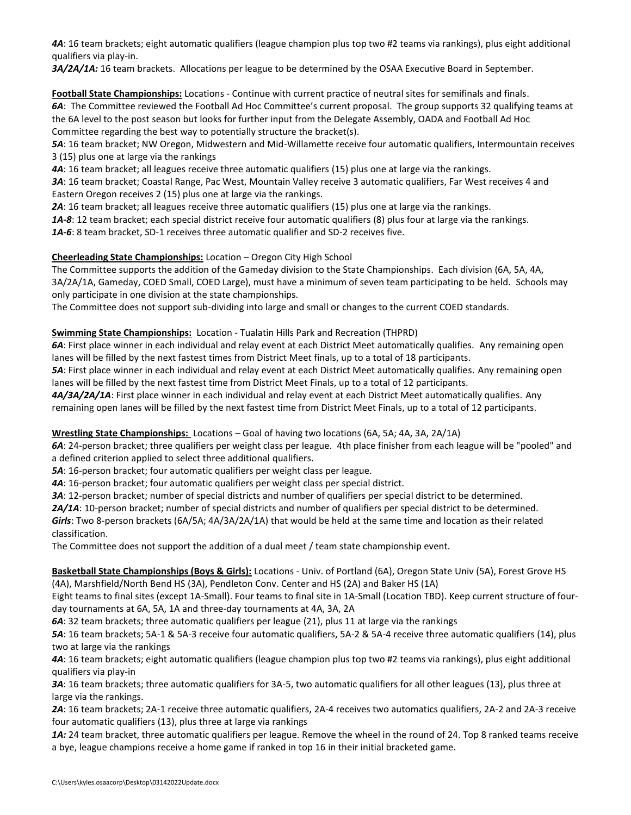*4A*: 16 team brackets; eight automatic qualifiers (league champion plus top two #2 teams via rankings), plus eight additional qualifiers via play-in.

*3A/2A/1A:* 16 team brackets. Allocations per league to be determined by the OSAA Executive Board in September.

**Football State Championships:** Locations - Continue with current practice of neutral sites for semifinals and finals. *6A*: The Committee reviewed the Football Ad Hoc Committee's current proposal. The group supports 32 qualifying teams at the 6A level to the post season but looks for further input from the Delegate Assembly, OADA and Football Ad Hoc Committee regarding the best way to potentially structure the bracket(s).

*5A*: 16 team bracket; NW Oregon, Midwestern and Mid-Willamette receive four automatic qualifiers, Intermountain receives 3 (15) plus one at large via the rankings

*4A*: 16 team bracket; all leagues receive three automatic qualifiers (15) plus one at large via the rankings.

*3A*: 16 team bracket; Coastal Range, Pac West, Mountain Valley receive 3 automatic qualifiers, Far West receives 4 and Eastern Oregon receives 2 (15) plus one at large via the rankings.

*2A*: 16 team bracket; all leagues receive three automatic qualifiers (15) plus one at large via the rankings.

*1A-8*: 12 team bracket; each special district receive four automatic qualifiers (8) plus four at large via the rankings.

*1A-6*: 8 team bracket, SD-1 receives three automatic qualifier and SD-2 receives five.

# **Cheerleading State Championships:** Location – Oregon City High School

The Committee supports the addition of the Gameday division to the State Championships. Each division (6A, 5A, 4A, 3A/2A/1A, Gameday, COED Small, COED Large), must have a minimum of seven team participating to be held. Schools may only participate in one division at the state championships.

The Committee does not support sub-dividing into large and small or changes to the current COED standards.

### **Swimming State Championships:** Location - Tualatin Hills Park and Recreation (THPRD)

*6A*: First place winner in each individual and relay event at each District Meet automatically qualifies. Any remaining open lanes will be filled by the next fastest times from District Meet finals, up to a total of 18 participants.

*5A*: First place winner in each individual and relay event at each District Meet automatically qualifies. Any remaining open lanes will be filled by the next fastest time from District Meet Finals, up to a total of 12 participants.

*4A/3A/2A/1A*: First place winner in each individual and relay event at each District Meet automatically qualifies. Any remaining open lanes will be filled by the next fastest time from District Meet Finals, up to a total of 12 participants.

### **Wrestling State Championships:** Locations – Goal of having two locations (6A, 5A; 4A, 3A, 2A/1A)

*6A*: 24-person bracket; three qualifiers per weight class per league. 4th place finisher from each league will be "pooled" and a defined criterion applied to select three additional qualifiers.

*5A*: 16-person bracket; four automatic qualifiers per weight class per league.

*4A*: 16-person bracket; four automatic qualifiers per weight class per special district.

*3A*: 12-person bracket; number of special districts and number of qualifiers per special district to be determined.

*2A/1A*: 10-person bracket; number of special districts and number of qualifiers per special district to be determined.

*Girls*: Two 8-person brackets (6A/5A; 4A/3A/2A/1A) that would be held at the same time and location as their related classification.

The Committee does not support the addition of a dual meet / team state championship event.

# **Basketball State Championships (Boys & Girls):** Locations - Univ. of Portland (6A), Oregon State Univ (5A), Forest Grove HS (4A), Marshfield/North Bend HS (3A), Pendleton Conv. Center and HS (2A) and Baker HS (1A)

Eight teams to final sites (except 1A-Small). Four teams to final site in 1A-Small (Location TBD). Keep current structure of fourday tournaments at 6A, 5A, 1A and three-day tournaments at 4A, 3A, 2A

*6A*: 32 team brackets; three automatic qualifiers per league (21), plus 11 at large via the rankings

*5A*: 16 team brackets; 5A-1 & 5A-3 receive four automatic qualifiers, 5A-2 & 5A-4 receive three automatic qualifiers (14), plus two at large via the rankings

*4A*: 16 team brackets; eight automatic qualifiers (league champion plus top two #2 teams via rankings), plus eight additional qualifiers via play-in

*3A*: 16 team brackets; three automatic qualifiers for 3A-5, two automatic qualifiers for all other leagues (13), plus three at large via the rankings.

*2A*: 16 team brackets; 2A-1 receive three automatic qualifiers, 2A-4 receives two automatics qualifiers, 2A-2 and 2A-3 receive four automatic qualifiers (13), plus three at large via rankings

1A: 24 team bracket, three automatic qualifiers per league. Remove the wheel in the round of 24. Top 8 ranked teams receive a bye, league champions receive a home game if ranked in top 16 in their initial bracketed game.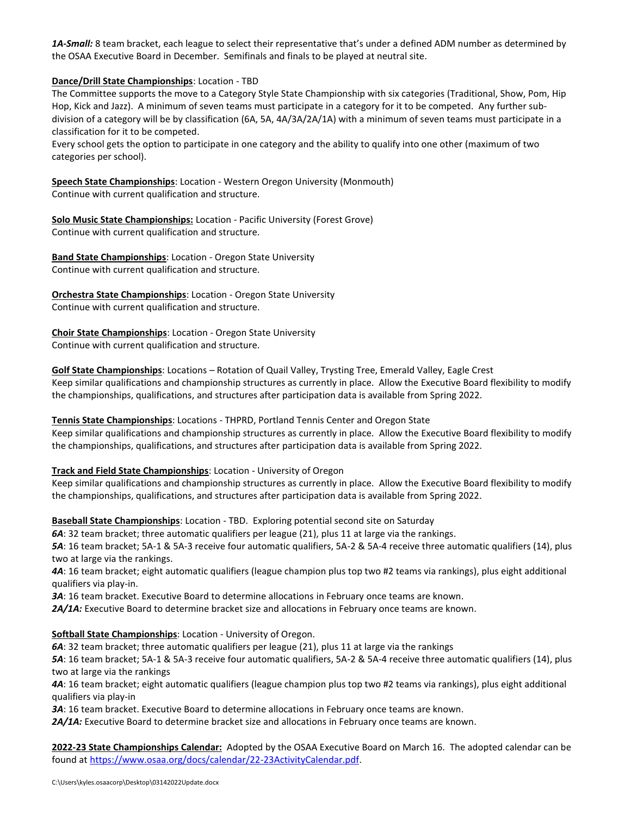*1A-Small:* 8 team bracket, each league to select their representative that's under a defined ADM number as determined by the OSAA Executive Board in December. Semifinals and finals to be played at neutral site.

**Dance/Drill State Championships**: Location - TBD

The Committee supports the move to a Category Style State Championship with six categories (Traditional, Show, Pom, Hip Hop, Kick and Jazz). A minimum of seven teams must participate in a category for it to be competed. Any further subdivision of a category will be by classification (6A, 5A, 4A/3A/2A/1A) with a minimum of seven teams must participate in a classification for it to be competed.

Every school gets the option to participate in one category and the ability to qualify into one other (maximum of two categories per school).

**Speech State Championships**: Location - Western Oregon University (Monmouth) Continue with current qualification and structure.

**Solo Music State Championships:** Location - Pacific University (Forest Grove) Continue with current qualification and structure.

**Band State Championships**: Location - Oregon State University Continue with current qualification and structure.

**Orchestra State Championships**: Location - Oregon State University Continue with current qualification and structure.

**Choir State Championships**: Location - Oregon State University Continue with current qualification and structure.

**Golf State Championships**: Locations – Rotation of Quail Valley, Trysting Tree, Emerald Valley, Eagle Crest Keep similar qualifications and championship structures as currently in place. Allow the Executive Board flexibility to modify the championships, qualifications, and structures after participation data is available from Spring 2022.

**Tennis State Championships**: Locations - THPRD, Portland Tennis Center and Oregon State Keep similar qualifications and championship structures as currently in place. Allow the Executive Board flexibility to modify the championships, qualifications, and structures after participation data is available from Spring 2022.

### **Track and Field State Championships**: Location - University of Oregon

Keep similar qualifications and championship structures as currently in place. Allow the Executive Board flexibility to modify the championships, qualifications, and structures after participation data is available from Spring 2022.

**Baseball State Championships**: Location - TBD. Exploring potential second site on Saturday

*6A*: 32 team bracket; three automatic qualifiers per league (21), plus 11 at large via the rankings.

*5A*: 16 team bracket; 5A-1 & 5A-3 receive four automatic qualifiers, 5A-2 & 5A-4 receive three automatic qualifiers (14), plus two at large via the rankings.

*4A*: 16 team bracket; eight automatic qualifiers (league champion plus top two #2 teams via rankings), plus eight additional qualifiers via play-in.

*3A*: 16 team bracket. Executive Board to determine allocations in February once teams are known.

*2A/1A:* Executive Board to determine bracket size and allocations in February once teams are known.

# **Softball State Championships**: Location - University of Oregon.

*6A*: 32 team bracket; three automatic qualifiers per league (21), plus 11 at large via the rankings

*5A*: 16 team bracket; 5A-1 & 5A-3 receive four automatic qualifiers, 5A-2 & 5A-4 receive three automatic qualifiers (14), plus two at large via the rankings

*4A*: 16 team bracket; eight automatic qualifiers (league champion plus top two #2 teams via rankings), plus eight additional qualifiers via play-in

*3A*: 16 team bracket. Executive Board to determine allocations in February once teams are known.

*2A/1A:* Executive Board to determine bracket size and allocations in February once teams are known.

**2022-23 State Championships Calendar:** Adopted by the OSAA Executive Board on March 16. The adopted calendar can be found at [https://www.osaa.org/docs/calendar/22-23ActivityCalendar.pdf.](https://www.osaa.org/docs/calendar/22-23ActivityCalendar.pdf)